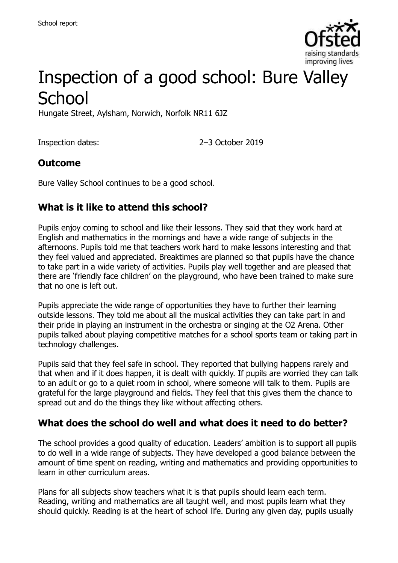

# Inspection of a good school: Bure Valley **School**

Hungate Street, Aylsham, Norwich, Norfolk NR11 6JZ

Inspection dates: 2–3 October 2019

#### **Outcome**

Bure Valley School continues to be a good school.

## **What is it like to attend this school?**

Pupils enjoy coming to school and like their lessons. They said that they work hard at English and mathematics in the mornings and have a wide range of subjects in the afternoons. Pupils told me that teachers work hard to make lessons interesting and that they feel valued and appreciated. Breaktimes are planned so that pupils have the chance to take part in a wide variety of activities. Pupils play well together and are pleased that there are 'friendly face children' on the playground, who have been trained to make sure that no one is left out.

Pupils appreciate the wide range of opportunities they have to further their learning outside lessons. They told me about all the musical activities they can take part in and their pride in playing an instrument in the orchestra or singing at the O2 Arena. Other pupils talked about playing competitive matches for a school sports team or taking part in technology challenges.

Pupils said that they feel safe in school. They reported that bullying happens rarely and that when and if it does happen, it is dealt with quickly. If pupils are worried they can talk to an adult or go to a quiet room in school, where someone will talk to them. Pupils are grateful for the large playground and fields. They feel that this gives them the chance to spread out and do the things they like without affecting others.

#### **What does the school do well and what does it need to do better?**

The school provides a good quality of education. Leaders' ambition is to support all pupils to do well in a wide range of subjects. They have developed a good balance between the amount of time spent on reading, writing and mathematics and providing opportunities to learn in other curriculum areas.

Plans for all subjects show teachers what it is that pupils should learn each term. Reading, writing and mathematics are all taught well, and most pupils learn what they should quickly. Reading is at the heart of school life. During any given day, pupils usually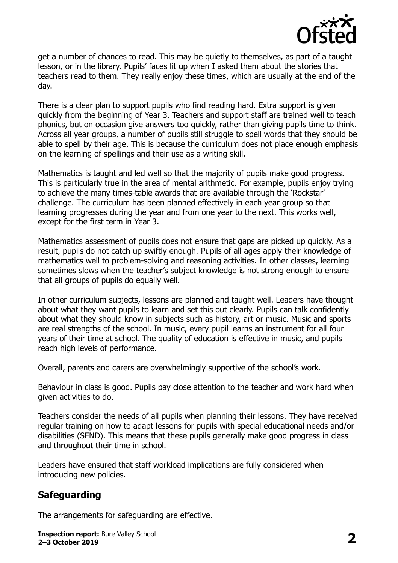

get a number of chances to read. This may be quietly to themselves, as part of a taught lesson, or in the library. Pupils' faces lit up when I asked them about the stories that teachers read to them. They really enjoy these times, which are usually at the end of the day.

There is a clear plan to support pupils who find reading hard. Extra support is given quickly from the beginning of Year 3. Teachers and support staff are trained well to teach phonics, but on occasion give answers too quickly, rather than giving pupils time to think. Across all year groups, a number of pupils still struggle to spell words that they should be able to spell by their age. This is because the curriculum does not place enough emphasis on the learning of spellings and their use as a writing skill.

Mathematics is taught and led well so that the majority of pupils make good progress. This is particularly true in the area of mental arithmetic. For example, pupils enjoy trying to achieve the many times-table awards that are available through the 'Rockstar' challenge. The curriculum has been planned effectively in each year group so that learning progresses during the year and from one year to the next. This works well, except for the first term in Year 3.

Mathematics assessment of pupils does not ensure that gaps are picked up quickly. As a result, pupils do not catch up swiftly enough. Pupils of all ages apply their knowledge of mathematics well to problem-solving and reasoning activities. In other classes, learning sometimes slows when the teacher's subject knowledge is not strong enough to ensure that all groups of pupils do equally well.

In other curriculum subjects, lessons are planned and taught well. Leaders have thought about what they want pupils to learn and set this out clearly. Pupils can talk confidently about what they should know in subjects such as history, art or music. Music and sports are real strengths of the school. In music, every pupil learns an instrument for all four years of their time at school. The quality of education is effective in music, and pupils reach high levels of performance.

Overall, parents and carers are overwhelmingly supportive of the school's work.

Behaviour in class is good. Pupils pay close attention to the teacher and work hard when given activities to do.

Teachers consider the needs of all pupils when planning their lessons. They have received regular training on how to adapt lessons for pupils with special educational needs and/or disabilities (SEND). This means that these pupils generally make good progress in class and throughout their time in school.

Leaders have ensured that staff workload implications are fully considered when introducing new policies.

## **Safeguarding**

The arrangements for safeguarding are effective.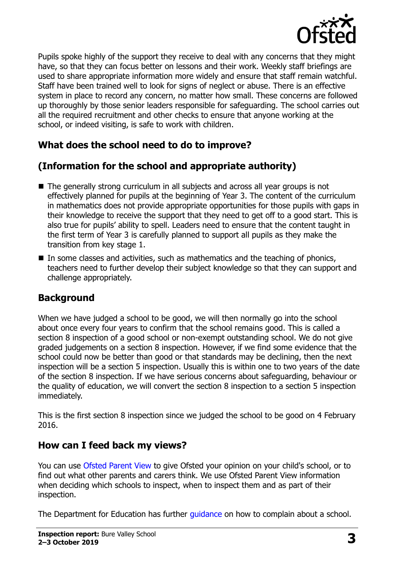

Pupils spoke highly of the support they receive to deal with any concerns that they might have, so that they can focus better on lessons and their work. Weekly staff briefings are used to share appropriate information more widely and ensure that staff remain watchful. Staff have been trained well to look for signs of neglect or abuse. There is an effective system in place to record any concern, no matter how small. These concerns are followed up thoroughly by those senior leaders responsible for safeguarding. The school carries out all the required recruitment and other checks to ensure that anyone working at the school, or indeed visiting, is safe to work with children.

# **What does the school need to do to improve?**

## **(Information for the school and appropriate authority)**

- The generally strong curriculum in all subjects and across all year groups is not effectively planned for pupils at the beginning of Year 3. The content of the curriculum in mathematics does not provide appropriate opportunities for those pupils with gaps in their knowledge to receive the support that they need to get off to a good start. This is also true for pupils' ability to spell. Leaders need to ensure that the content taught in the first term of Year 3 is carefully planned to support all pupils as they make the transition from key stage 1.
- $\blacksquare$  In some classes and activities, such as mathematics and the teaching of phonics, teachers need to further develop their subject knowledge so that they can support and challenge appropriately.

## **Background**

When we have judged a school to be good, we will then normally go into the school about once every four years to confirm that the school remains good. This is called a section 8 inspection of a good school or non-exempt outstanding school. We do not give graded judgements on a section 8 inspection. However, if we find some evidence that the school could now be better than good or that standards may be declining, then the next inspection will be a section 5 inspection. Usually this is within one to two years of the date of the section 8 inspection. If we have serious concerns about safeguarding, behaviour or the quality of education, we will convert the section 8 inspection to a section 5 inspection immediately.

This is the first section 8 inspection since we judged the school to be good on 4 February 2016.

## **How can I feed back my views?**

You can use [Ofsted Parent View](https://parentview.ofsted.gov.uk/) to give Ofsted your opinion on your child's school, or to find out what other parents and carers think. We use Ofsted Parent View information when deciding which schools to inspect, when to inspect them and as part of their inspection.

The Department for Education has further [guidance](http://www.gov.uk/complain-about-school) on how to complain about a school.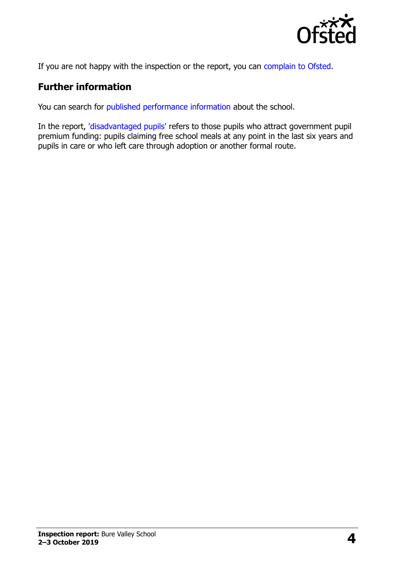

If you are not happy with the inspection or the report, you can [complain to Ofsted.](https://www.gov.uk/complain-ofsted-report)

#### **Further information**

You can search for [published performance information](http://www.compare-school-performance.service.gov.uk/) about the school.

In the report, ['disadvantaged pupils'](http://www.gov.uk/guidance/pupil-premium-information-for-schools-and-alternative-provision-settings) refers to those pupils who attract government pupil premium funding: pupils claiming free school meals at any point in the last six years and pupils in care or who left care through adoption or another formal route.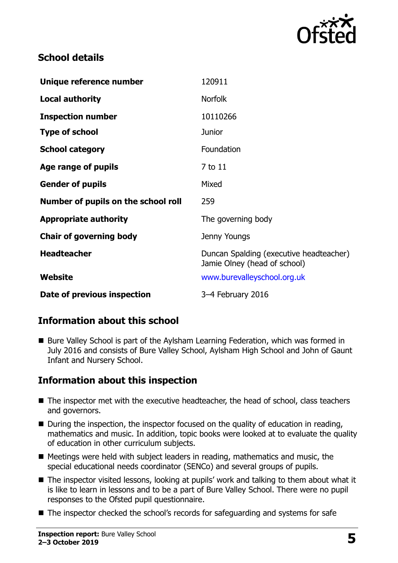

#### **School details**

| Unique reference number             | 120911                                                                  |
|-------------------------------------|-------------------------------------------------------------------------|
| <b>Local authority</b>              | <b>Norfolk</b>                                                          |
| <b>Inspection number</b>            | 10110266                                                                |
| <b>Type of school</b>               | Junior                                                                  |
| <b>School category</b>              | Foundation                                                              |
| Age range of pupils                 | 7 to 11                                                                 |
| <b>Gender of pupils</b>             | Mixed                                                                   |
| Number of pupils on the school roll | 259                                                                     |
| <b>Appropriate authority</b>        | The governing body                                                      |
| <b>Chair of governing body</b>      | Jenny Youngs                                                            |
| <b>Headteacher</b>                  | Duncan Spalding (executive headteacher)<br>Jamie Olney (head of school) |
| <b>Website</b>                      | www.burevalleyschool.org.uk                                             |
| Date of previous inspection         | 3-4 February 2016                                                       |

## **Information about this school**

■ Bure Valley School is part of the Aylsham Learning Federation, which was formed in July 2016 and consists of Bure Valley School, Aylsham High School and John of Gaunt Infant and Nursery School.

## **Information about this inspection**

- The inspector met with the executive headteacher, the head of school, class teachers and governors.
- During the inspection, the inspector focused on the quality of education in reading, mathematics and music. In addition, topic books were looked at to evaluate the quality of education in other curriculum subjects.
- $\blacksquare$  Meetings were held with subject leaders in reading, mathematics and music, the special educational needs coordinator (SENCo) and several groups of pupils.
- The inspector visited lessons, looking at pupils' work and talking to them about what it is like to learn in lessons and to be a part of Bure Valley School. There were no pupil responses to the Ofsted pupil questionnaire.
- The inspector checked the school's records for safeguarding and systems for safe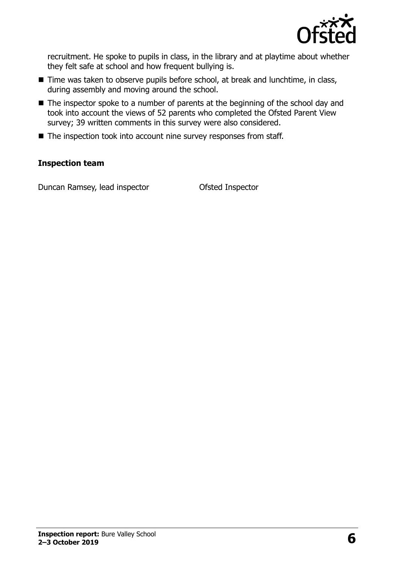

recruitment. He spoke to pupils in class, in the library and at playtime about whether they felt safe at school and how frequent bullying is.

- Time was taken to observe pupils before school, at break and lunchtime, in class, during assembly and moving around the school.
- The inspector spoke to a number of parents at the beginning of the school day and took into account the views of 52 parents who completed the Ofsted Parent View survey; 39 written comments in this survey were also considered.
- The inspection took into account nine survey responses from staff.

#### **Inspection team**

Duncan Ramsey, lead inspector **Ofsted Inspector**